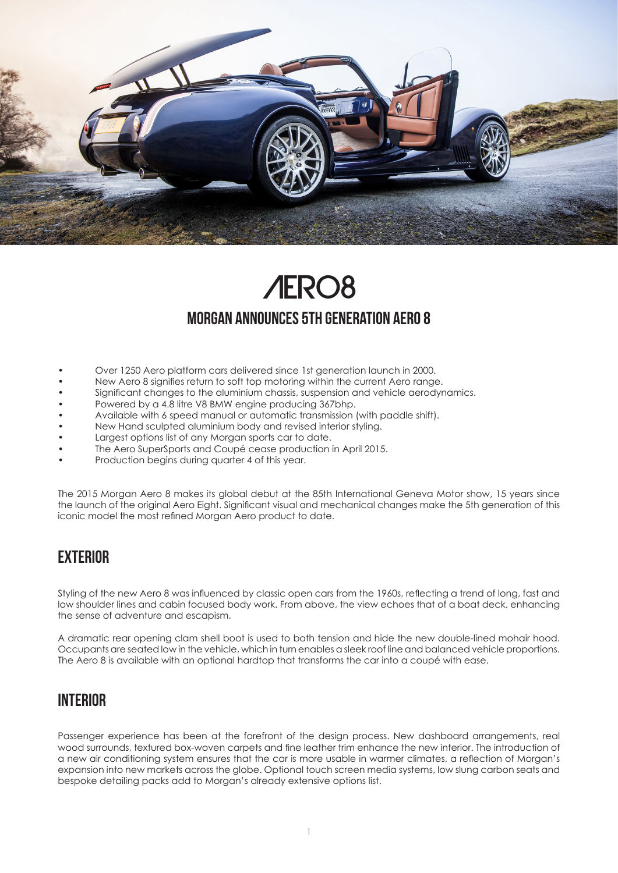

# Aero8 MORGAN ANNOUNCES 5TH GENERATION AERO 8

- Over 1250 Aero platform cars delivered since 1st generation launch in 2000.
- New Aero 8 signifies return to soft top motoring within the current Aero range.
- Significant changes to the aluminium chassis, suspension and vehicle aerodynamics.
- Powered by a 4.8 litre V8 BMW engine producing 367bhp.
- Available with 6 speed manual or automatic transmission (with paddle shift).
- New Hand sculpted aluminium body and revised interior styling.
- Largest options list of any Morgan sports car to date.
- The Aero SuperSports and Coupé cease production in April 2015.
- Production begins during quarter 4 of this year.

The 2015 Morgan Aero 8 makes its global debut at the 85th International Geneva Motor show, 15 years since the launch of the original Aero Eight. Significant visual and mechanical changes make the 5th generation of this iconic model the most refined Morgan Aero product to date.

#### **EXTERIOR**

Styling of the new Aero 8 was influenced by classic open cars from the 1960s, reflecting a trend of long, fast and low shoulder lines and cabin focused body work. From above, the view echoes that of a boat deck, enhancing the sense of adventure and escapism.

A dramatic rear opening clam shell boot is used to both tension and hide the new double-lined mohair hood. Occupants are seated low in the vehicle, which in turn enables a sleek roof line and balanced vehicle proportions. The Aero 8 is available with an optional hardtop that transforms the car into a coupé with ease.

#### **INTERIOR**

Passenger experience has been at the forefront of the design process. New dashboard arrangements, real wood surrounds, textured box-woven carpets and fine leather trim enhance the new interior. The introduction of a new air conditioning system ensures that the car is more usable in warmer climates, a reflection of Morgan's expansion into new markets across the globe. Optional touch screen media systems, low slung carbon seats and bespoke detailing packs add to Morgan's already extensive options list.